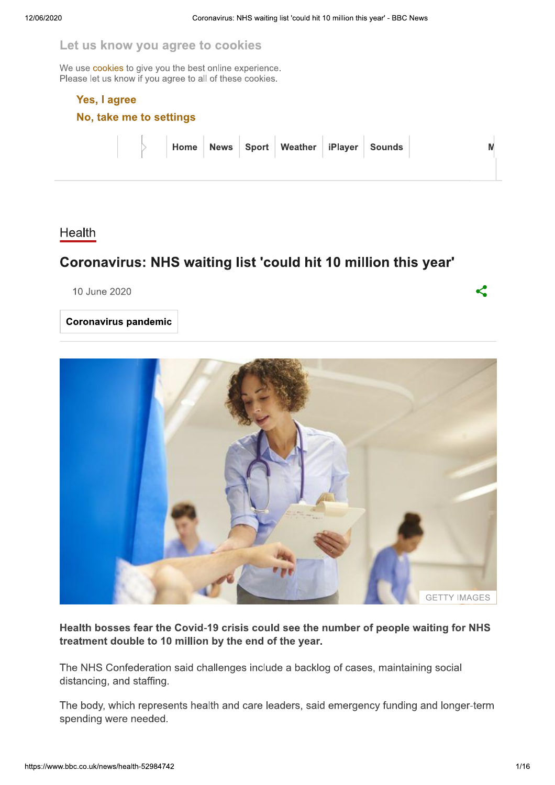## Let us know you agree to cookies

We use cookies to give you the best online experience. Please let us know if you agree to all of these cookies.

#### Yes, I agree

No, take me to settings

|  |  | Home News Sport Weather iPlayer Sounds |  |  |
|--|--|----------------------------------------|--|--|
|  |  |                                        |  |  |

### Health

## Coronavirus: NHS waiting list 'could hit 10 million this year'

10 June 2020

**Coronavirus pandemic** 



Health bosses fear the Covid-19 crisis could see the number of people waiting for NHS treatment double to 10 million by the end of the year.

The NHS Confederation said challenges include a backlog of cases, maintaining social distancing, and staffing.

The body, which represents health and care leaders, said emergency funding and longer-term spending were needed.

K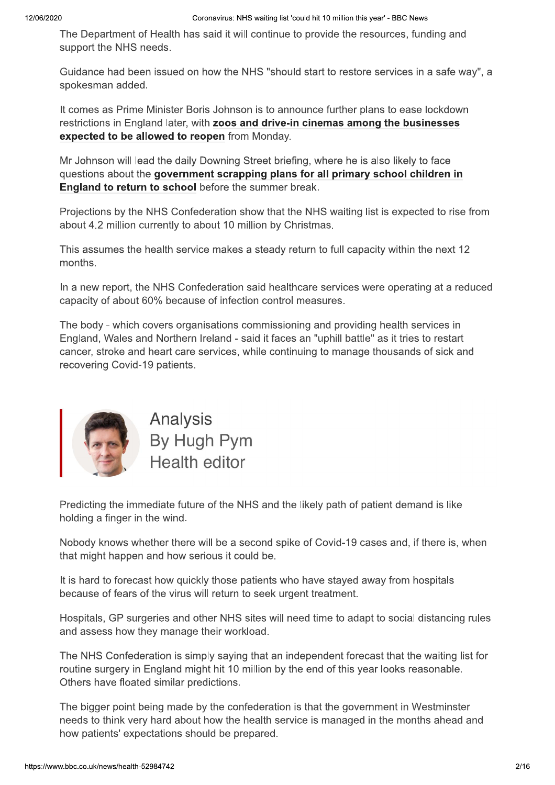The Department of Health has said it will continue to provide the resources, funding and support the NHS needs.

Guidance had been issued on how the NHS "should start to restore services in a safe way", a spokesman added.

It comes as Prime Minister Boris Johnson is to announce further plans to ease lockdown restrictions in England later, with zoos and drive-in cinemas among the businesses expected to be allowed to reopen from Monday.

Mr Johnson will lead the daily Downing Street briefing, where he is also likely to face questions about the government scrapping plans for all primary school children in England to return to school before the summer break.

Projections by the NHS Confederation show that the NHS waiting list is expected to rise from about 4.2 million currently to about 10 million by Christmas.

This assumes the health service makes a steady return to full capacity within the next 12 months.

In a new report, the NHS Confederation said healthcare services were operating at a reduced capacity of about 60% because of infection control measures.

The body - which covers organisations commissioning and providing health services in England, Wales and Northern Ireland - said it faces an "uphill battle" as it tries to restart cancer, stroke and heart care services, while continuing to manage thousands of sick and recovering Covid-19 patients.



Analysis By Hugh Pym **Health editor** 

Predicting the immediate future of the NHS and the likely path of patient demand is like holding a finger in the wind.

Nobody knows whether there will be a second spike of Covid-19 cases and, if there is, when that might happen and how serious it could be.

It is hard to forecast how quickly those patients who have stayed away from hospitals because of fears of the virus will return to seek urgent treatment.

Hospitals, GP surgeries and other NHS sites will need time to adapt to social distancing rules and assess how they manage their workload.

The NHS Confederation is simply saying that an independent forecast that the waiting list for routine surgery in England might hit 10 million by the end of this year looks reasonable. Others have floated similar predictions.

The bigger point being made by the confederation is that the government in Westminster needs to think very hard about how the health service is managed in the months ahead and how patients' expectations should be prepared.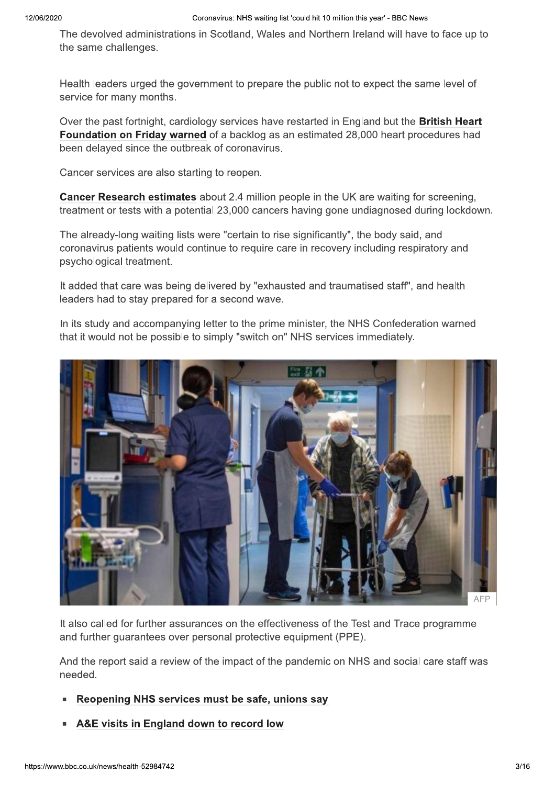The devolved administrations in Scotland, Wales and Northern Ireland will have to face up to the same challenges.

Health leaders urged the government to prepare the public not to expect the same level of service for many months.

Over the past fortnight, cardiology services have restarted in England but the **British Heart** Foundation on Friday warned of a backlog as an estimated 28,000 heart procedures had been delayed since the outbreak of coronavirus.

Cancer services are also starting to reopen.

Cancer Research estimates about 2.4 million people in the UK are waiting for screening, treatment or tests with a potential 23,000 cancers having gone undiagnosed during lockdown.

The already-long waiting lists were "certain to rise significantly", the body said, and coronavirus patients would continue to require care in recovery including respiratory and psychological treatment.

It added that care was being delivered by "exhausted and traumatised staff", and health leaders had to stay prepared for a second wave.

In its study and accompanying letter to the prime minister, the NHS Confederation warned that it would not be possible to simply "switch on" NHS services immediately.



It also called for further assurances on the effectiveness of the Test and Trace programme and further guarantees over personal protective equipment (PPE).

And the report said a review of the impact of the pandemic on NHS and social care staff was needed.

- Reopening NHS services must be safe, unions say
- A&E visits in England down to record low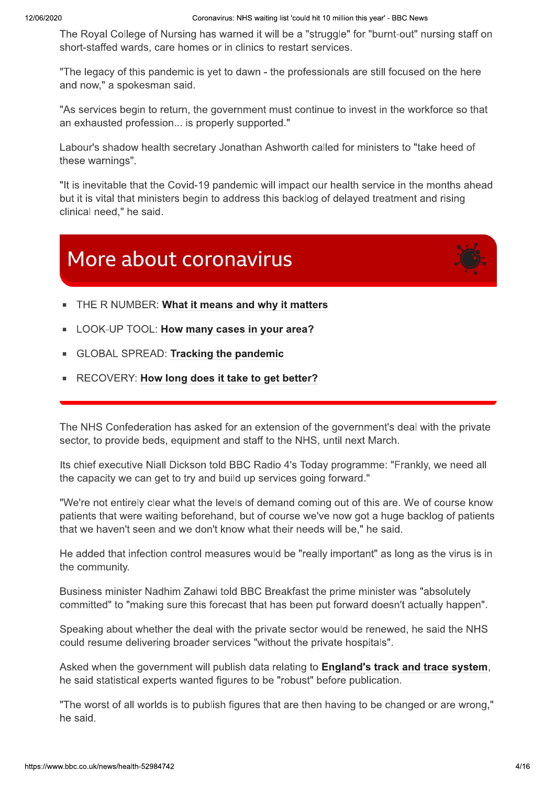The Royal College of Nursing has warned it will be a "struggle" for "burnt-out" nursing staff on short-staffed wards, care homes or in clinics to restart services.

"The legacy of this pandemic is yet to dawn - the professionals are still focused on the here and now," a spokesman said.

"As services begin to return, the government must continue to invest in the workforce so that an exhausted profession... is properly supported."

Labour's shadow health secretary Jonathan Ashworth called for ministers to "take heed of these warnings".

"It is inevitable that the Covid-19 pandemic will impact our health service in the months ahead but it is vital that ministers begin to address this backlog of delayed treatment and rising clinical need." he said.

# More about coronavirus



- THE R NUMBER: What it means and why it matters
- LOOK-UP TOOL: How many cases in your area?
- **GLOBAL SPREAD: Tracking the pandemic**
- RECOVERY: How long does it take to get better?

The NHS Confederation has asked for an extension of the government's deal with the private sector, to provide beds, equipment and staff to the NHS, until next March.

Its chief executive Niall Dickson told BBC Radio 4's Today programme: "Frankly, we need all the capacity we can get to try and build up services going forward."

"We're not entirely clear what the levels of demand coming out of this are. We of course know patients that were waiting beforehand, but of course we've now got a huge backlog of patients that we haven't seen and we don't know what their needs will be," he said.

He added that infection control measures would be "really important" as long as the virus is in the community.

Business minister Nadhim Zahawi told BBC Breakfast the prime minister was "absolutely committed" to "making sure this forecast that has been put forward doesn't actually happen".

Speaking about whether the deal with the private sector would be renewed, he said the NHS could resume delivering broader services "without the private hospitals".

Asked when the government will publish data relating to England's track and trace system, he said statistical experts wanted figures to be "robust" before publication.

"The worst of all worlds is to publish figures that are then having to be changed or are wrong," he said.